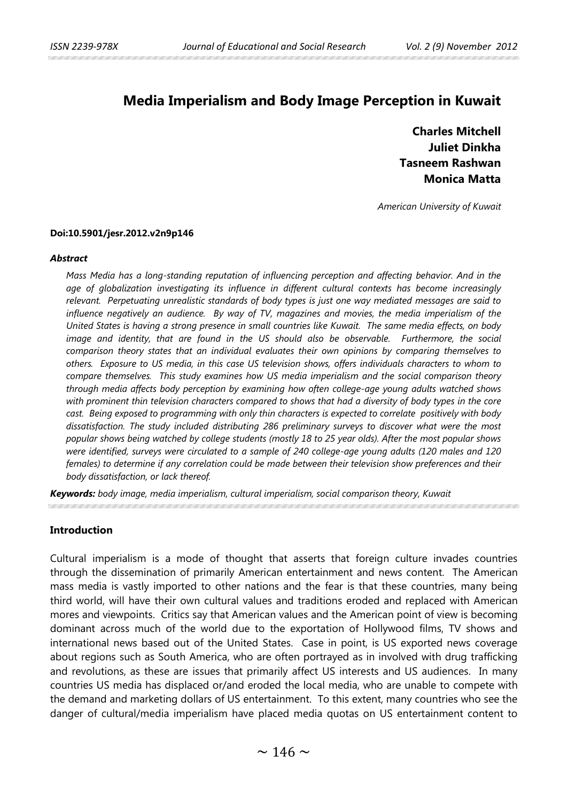# **Media Imperialism and Body Image Perception in Kuwait**

**Charles Mitchell Juliet Dinkha Tasneem Rashwan Monica Matta**

*American University of Kuwait*

#### **Doi:10.5901/jesr.2012.v2n9p146**

#### *Abstract*

*Mass Media has a long-standing reputation of influencing perception and affecting behavior. And in the age of globalization investigating its influence in different cultural contexts has become increasingly relevant. Perpetuating unrealistic standards of body types is just one way mediated messages are said to influence negatively an audience. By way of TV, magazines and movies, the media imperialism of the United States is having a strong presence in small countries like Kuwait. The same media effects, on body image and identity, that are found in the US should also be observable. Furthermore, the social comparison theory states that an individual evaluates their own opinions by comparing themselves to others. Exposure to US media, in this case US television shows, offers individuals characters to whom to compare themselves. This study examines how US media imperialism and the social comparison theory through media affects body perception by examining how often college-age young adults watched shows*  with prominent thin television characters compared to shows that had a diversity of body types in the core *cast. Being exposed to programming with only thin characters is expected to correlate positively with body dissatisfaction. The study included distributing 286 preliminary surveys to discover what were the most popular shows being watched by college students (mostly 18 to 25 year olds). After the most popular shows were identified, surveys were circulated to a sample of 240 college-age young adults (120 males and 120 females) to determine if any correlation could be made between their television show preferences and their body dissatisfaction, or lack thereof.*

*Keywords: body image, media imperialism, cultural imperialism, social comparison theory, Kuwait*

### **Introduction**

Cultural imperialism is a mode of thought that asserts that foreign culture invades countries through the dissemination of primarily American entertainment and news content. The American mass media is vastly imported to other nations and the fear is that these countries, many being third world, will have their own cultural values and traditions eroded and replaced with American mores and viewpoints. Critics say that American values and the American point of view is becoming dominant across much of the world due to the exportation of Hollywood films, TV shows and international news based out of the United States. Case in point, is US exported news coverage about regions such as South America, who are often portrayed as in involved with drug trafficking and revolutions, as these are issues that primarily affect US interests and US audiences. In many countries US media has displaced or/and eroded the local media, who are unable to compete with the demand and marketing dollars of US entertainment. To this extent, many countries who see the danger of cultural/media imperialism have placed media quotas on US entertainment content to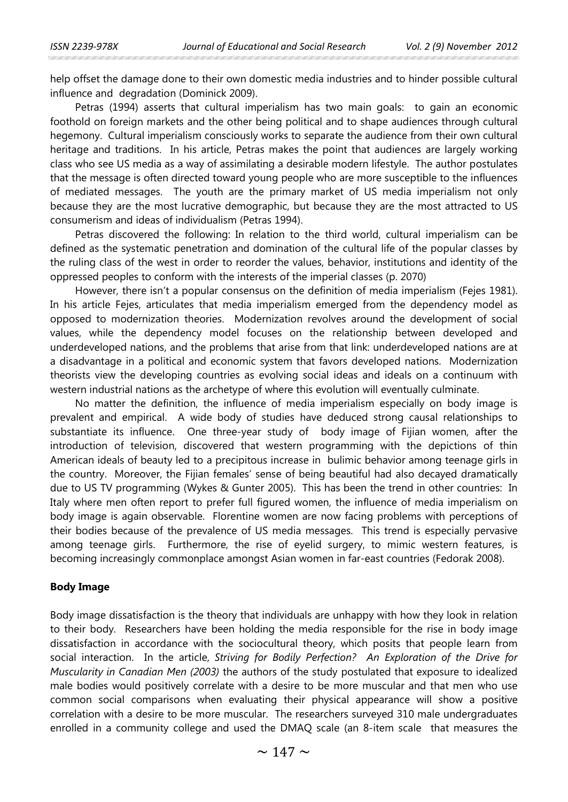help offset the damage done to their own domestic media industries and to hinder possible cultural influence and degradation (Dominick 2009).

Petras (1994) asserts that cultural imperialism has two main goals: to gain an economic foothold on foreign markets and the other being political and to shape audiences through cultural hegemony. Cultural imperialism consciously works to separate the audience from their own cultural heritage and traditions. In his article, Petras makes the point that audiences are largely working class who see US media as a way of assimilating a desirable modern lifestyle. The author postulates that the message is often directed toward young people who are more susceptible to the influences of mediated messages. The youth are the primary market of US media imperialism not only because they are the most lucrative demographic, but because they are the most attracted to US consumerism and ideas of individualism (Petras 1994).

Petras discovered the following: In relation to the third world, cultural imperialism can be defined as the systematic penetration and domination of the cultural life of the popular classes by the ruling class of the west in order to reorder the values, behavior, institutions and identity of the oppressed peoples to conform with the interests of the imperial classes (p. 2070)

However, there isn't a popular consensus on the definition of media imperialism (Fejes 1981). In his article Fejes, articulates that media imperialism emerged from the dependency model as opposed to modernization theories. Modernization revolves around the development of social values, while the dependency model focuses on the relationship between developed and underdeveloped nations, and the problems that arise from that link: underdeveloped nations are at a disadvantage in a political and economic system that favors developed nations. Modernization theorists view the developing countries as evolving social ideas and ideals on a continuum with western industrial nations as the archetype of where this evolution will eventually culminate.

No matter the definition, the influence of media imperialism especially on body image is prevalent and empirical. A wide body of studies have deduced strong causal relationships to substantiate its influence. One three-year study of body image of Fijian women, after the introduction of television, discovered that western programming with the depictions of thin American ideals of beauty led to a precipitous increase in bulimic behavior among teenage girls in the country. Moreover, the Fijian females' sense of being beautiful had also decayed dramatically due to US TV programming (Wykes & Gunter 2005). This has been the trend in other countries: In Italy where men often report to prefer full figured women, the influence of media imperialism on body image is again observable. Florentine women are now facing problems with perceptions of their bodies because of the prevalence of US media messages. This trend is especially pervasive among teenage girls. Furthermore, the rise of eyelid surgery, to mimic western features, is becoming increasingly commonplace amongst Asian women in far-east countries (Fedorak 2008).

#### **Body Image**

Body image dissatisfaction is the theory that individuals are unhappy with how they look in relation to their body. Researchers have been holding the media responsible for the rise in body image dissatisfaction in accordance with the sociocultural theory, which posits that people learn from social interaction. In the article, *Striving for Bodily Perfection? An Exploration of the Drive for Muscularity in Canadian Men (2003)* the authors of the study postulated that exposure to idealized male bodies would positively correlate with a desire to be more muscular and that men who use common social comparisons when evaluating their physical appearance will show a positive correlation with a desire to be more muscular. The researchers surveyed 310 male undergraduates enrolled in a community college and used the DMAQ scale (an 8-item scale that measures the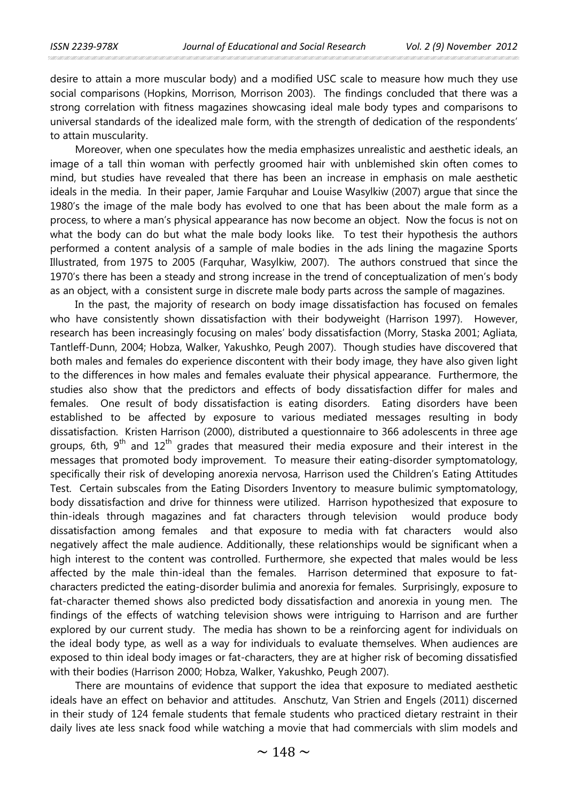desire to attain a more muscular body) and a modified USC scale to measure how much they use social comparisons (Hopkins, Morrison, Morrison 2003). The findings concluded that there was a strong correlation with fitness magazines showcasing ideal male body types and comparisons to universal standards of the idealized male form, with the strength of dedication of the respondents' to attain muscularity.

Moreover, when one speculates how the media emphasizes unrealistic and aesthetic ideals, an image of a tall thin woman with perfectly groomed hair with unblemished skin often comes to mind, but studies have revealed that there has been an increase in emphasis on male aesthetic ideals in the media. In their paper, Jamie Farquhar and Louise Wasylkiw (2007) argue that since the 1980's the image of the male body has evolved to one that has been about the male form as a process, to where a man's physical appearance has now become an object. Now the focus is not on what the body can do but what the male body looks like. To test their hypothesis the authors performed a content analysis of a sample of male bodies in the ads lining the magazine Sports Illustrated, from 1975 to 2005 (Farquhar, Wasylkiw, 2007). The authors construed that since the 1970's there has been a steady and strong increase in the trend of conceptualization of men's body as an object, with a consistent surge in discrete male body parts across the sample of magazines.

In the past, the majority of research on body image dissatisfaction has focused on females who have consistently shown dissatisfaction with their bodyweight (Harrison 1997). However, research has been increasingly focusing on males' body dissatisfaction (Morry, Staska 2001; Agliata, Tantleff-Dunn, 2004; Hobza, Walker, Yakushko, Peugh 2007). Though studies have discovered that both males and females do experience discontent with their body image, they have also given light to the differences in how males and females evaluate their physical appearance. Furthermore, the studies also show that the predictors and effects of body dissatisfaction differ for males and females. One result of body dissatisfaction is eating disorders. Eating disorders have been established to be affected by exposure to various mediated messages resulting in body dissatisfaction. Kristen Harrison (2000), distributed a questionnaire to 366 adolescents in three age groups, 6th,  $9<sup>th</sup>$  and  $12<sup>th</sup>$  grades that measured their media exposure and their interest in the messages that promoted body improvement. To measure their eating-disorder symptomatology, specifically their risk of developing anorexia nervosa, Harrison used the Children's Eating Attitudes Test. Certain subscales from the Eating Disorders Inventory to measure bulimic symptomatology, body dissatisfaction and drive for thinness were utilized. Harrison hypothesized that exposure to thin-ideals through magazines and fat characters through television would produce body dissatisfaction among females and that exposure to media with fat characters would also negatively affect the male audience. Additionally, these relationships would be significant when a high interest to the content was controlled. Furthermore, she expected that males would be less affected by the male thin-ideal than the females. Harrison determined that exposure to fatcharacters predicted the eating-disorder bulimia and anorexia for females. Surprisingly, exposure to fat-character themed shows also predicted body dissatisfaction and anorexia in young men. The findings of the effects of watching television shows were intriguing to Harrison and are further explored by our current study. The media has shown to be a reinforcing agent for individuals on the ideal body type, as well as a way for individuals to evaluate themselves. When audiences are exposed to thin ideal body images or fat-characters, they are at higher risk of becoming dissatisfied with their bodies (Harrison 2000; Hobza, Walker, Yakushko, Peugh 2007).

There are mountains of evidence that support the idea that exposure to mediated aesthetic ideals have an effect on behavior and attitudes. Anschutz, Van Strien and Engels (2011) discerned in their study of 124 female students that female students who practiced dietary restraint in their daily lives ate less snack food while watching a movie that had commercials with slim models and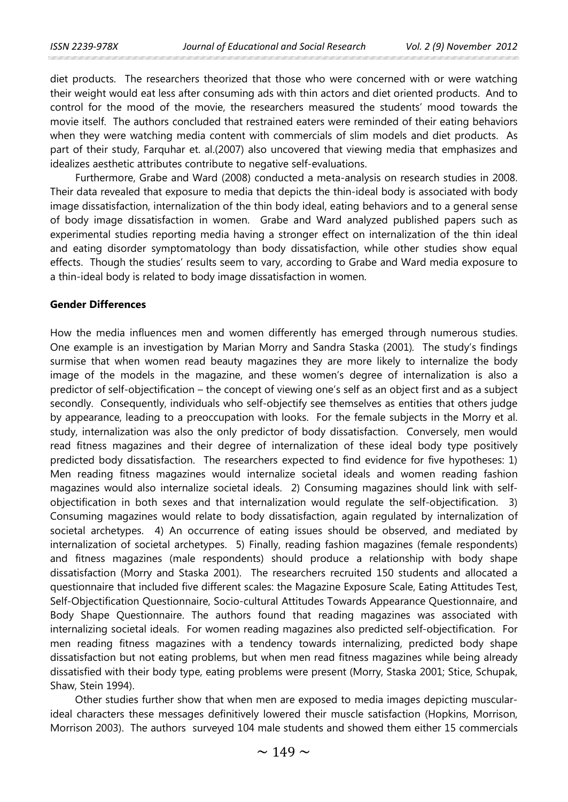diet products. The researchers theorized that those who were concerned with or were watching their weight would eat less after consuming ads with thin actors and diet oriented products. And to control for the mood of the movie, the researchers measured the students' mood towards the movie itself. The authors concluded that restrained eaters were reminded of their eating behaviors when they were watching media content with commercials of slim models and diet products. As part of their study, Farquhar et. al.(2007) also uncovered that viewing media that emphasizes and idealizes aesthetic attributes contribute to negative self-evaluations.

Furthermore, Grabe and Ward (2008) conducted a meta-analysis on research studies in 2008. Their data revealed that exposure to media that depicts the thin-ideal body is associated with body image dissatisfaction, internalization of the thin body ideal, eating behaviors and to a general sense of body image dissatisfaction in women. Grabe and Ward analyzed published papers such as experimental studies reporting media having a stronger effect on internalization of the thin ideal and eating disorder symptomatology than body dissatisfaction, while other studies show equal effects. Though the studies' results seem to vary, according to Grabe and Ward media exposure to a thin-ideal body is related to body image dissatisfaction in women.

### **Gender Differences**

How the media influences men and women differently has emerged through numerous studies. One example is an investigation by Marian Morry and Sandra Staska (2001)*.* The study's findings surmise that when women read beauty magazines they are more likely to internalize the body image of the models in the magazine, and these women's degree of internalization is also a predictor of self-objectification – the concept of viewing one's self as an object first and as a subject secondly. Consequently, individuals who self-objectify see themselves as entities that others judge by appearance, leading to a preoccupation with looks. For the female subjects in the Morry et al. study, internalization was also the only predictor of body dissatisfaction. Conversely, men would read fitness magazines and their degree of internalization of these ideal body type positively predicted body dissatisfaction. The researchers expected to find evidence for five hypotheses: 1) Men reading fitness magazines would internalize societal ideals and women reading fashion magazines would also internalize societal ideals. 2) Consuming magazines should link with selfobjectification in both sexes and that internalization would regulate the self-objectification. 3) Consuming magazines would relate to body dissatisfaction, again regulated by internalization of societal archetypes. 4) An occurrence of eating issues should be observed, and mediated by internalization of societal archetypes. 5) Finally, reading fashion magazines (female respondents) and fitness magazines (male respondents) should produce a relationship with body shape dissatisfaction (Morry and Staska 2001). The researchers recruited 150 students and allocated a questionnaire that included five different scales: the Magazine Exposure Scale, Eating Attitudes Test, Self-Objectification Questionnaire, Socio-cultural Attitudes Towards Appearance Questionnaire, and Body Shape Questionnaire. The authors found that reading magazines was associated with internalizing societal ideals. For women reading magazines also predicted self-objectification. For men reading fitness magazines with a tendency towards internalizing, predicted body shape dissatisfaction but not eating problems, but when men read fitness magazines while being already dissatisfied with their body type, eating problems were present (Morry, Staska 2001; Stice, Schupak, Shaw, Stein 1994).

Other studies further show that when men are exposed to media images depicting muscularideal characters these messages definitively lowered their muscle satisfaction (Hopkins, Morrison, Morrison 2003). The authors surveyed 104 male students and showed them either 15 commercials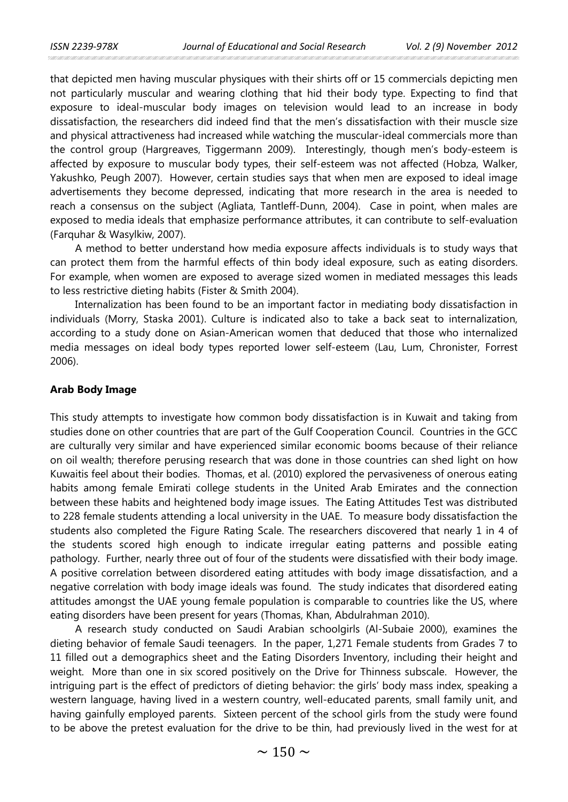that depicted men having muscular physiques with their shirts off or 15 commercials depicting men not particularly muscular and wearing clothing that hid their body type. Expecting to find that exposure to ideal-muscular body images on television would lead to an increase in body dissatisfaction, the researchers did indeed find that the men's dissatisfaction with their muscle size and physical attractiveness had increased while watching the muscular-ideal commercials more than the control group (Hargreaves, Tiggermann 2009). Interestingly, though men's body-esteem is affected by exposure to muscular body types, their self-esteem was not affected (Hobza, Walker, Yakushko, Peugh 2007). However, certain studies says that when men are exposed to ideal image advertisements they become depressed, indicating that more research in the area is needed to reach a consensus on the subject (Agliata, Tantleff-Dunn, 2004). Case in point, when males are exposed to media ideals that emphasize performance attributes, it can contribute to self-evaluation (Farquhar & Wasylkiw, 2007).

A method to better understand how media exposure affects individuals is to study ways that can protect them from the harmful effects of thin body ideal exposure, such as eating disorders. For example, when women are exposed to average sized women in mediated messages this leads to less restrictive dieting habits (Fister & Smith 2004).

Internalization has been found to be an important factor in mediating body dissatisfaction in individuals (Morry, Staska 2001). Culture is indicated also to take a back seat to internalization, according to a study done on Asian-American women that deduced that those who internalized media messages on ideal body types reported lower self-esteem (Lau, Lum, Chronister, Forrest 2006).

#### **Arab Body Image**

This study attempts to investigate how common body dissatisfaction is in Kuwait and taking from studies done on other countries that are part of the Gulf Cooperation Council. Countries in the GCC are culturally very similar and have experienced similar economic booms because of their reliance on oil wealth; therefore perusing research that was done in those countries can shed light on how Kuwaitis feel about their bodies. Thomas, et al. (2010) explored the pervasiveness of onerous eating habits among female Emirati college students in the United Arab Emirates and the connection between these habits and heightened body image issues. The Eating Attitudes Test was distributed to 228 female students attending a local university in the UAE. To measure body dissatisfaction the students also completed the Figure Rating Scale. The researchers discovered that nearly 1 in 4 of the students scored high enough to indicate irregular eating patterns and possible eating pathology. Further, nearly three out of four of the students were dissatisfied with their body image. A positive correlation between disordered eating attitudes with body image dissatisfaction, and a negative correlation with body image ideals was found. The study indicates that disordered eating attitudes amongst the UAE young female population is comparable to countries like the US, where eating disorders have been present for years (Thomas, Khan, Abdulrahman 2010).

A research study conducted on Saudi Arabian schoolgirls (Al-Subaie 2000), examines the dieting behavior of female Saudi teenagers. In the paper, 1,271 Female students from Grades 7 to 11 filled out a demographics sheet and the Eating Disorders Inventory, including their height and weight. More than one in six scored positively on the Drive for Thinness subscale. However, the intriguing part is the effect of predictors of dieting behavior: the girls' body mass index, speaking a western language, having lived in a western country, well-educated parents, small family unit, and having gainfully employed parents. Sixteen percent of the school girls from the study were found to be above the pretest evaluation for the drive to be thin, had previously lived in the west for at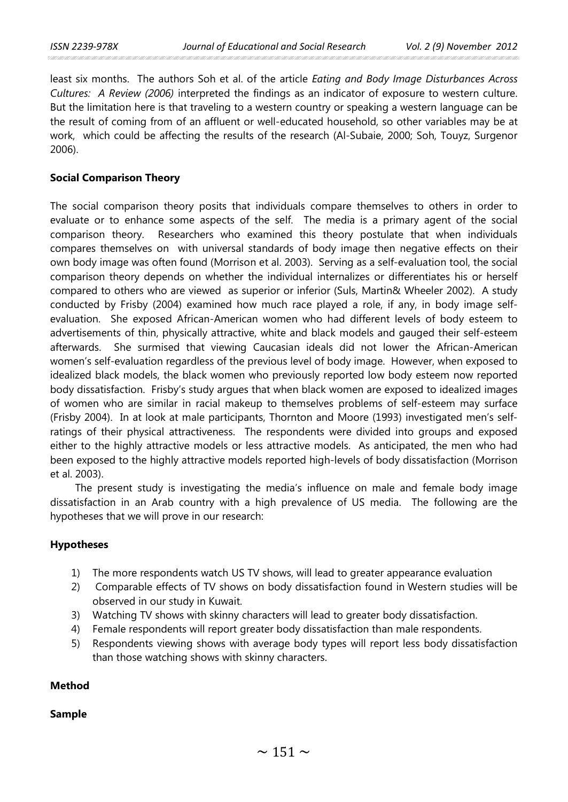least six months. The authors Soh et al. of the article *Eating and Body Image Disturbances Across Cultures: A Review (2006)* interpreted the findings as an indicator of exposure to western culture. But the limitation here is that traveling to a western country or speaking a western language can be the result of coming from of an affluent or well-educated household, so other variables may be at work, which could be affecting the results of the research (Al-Subaie, 2000; Soh, Touyz, Surgenor 2006).

# **Social Comparison Theory**

The social comparison theory posits that individuals compare themselves to others in order to evaluate or to enhance some aspects of the self. The media is a primary agent of the social comparison theory. Researchers who examined this theory postulate that when individuals compares themselves on with universal standards of body image then negative effects on their own body image was often found (Morrison et al. 2003). Serving as a self-evaluation tool, the social comparison theory depends on whether the individual internalizes or differentiates his or herself compared to others who are viewed as superior or inferior (Suls, Martin& Wheeler 2002). A study conducted by Frisby (2004) examined how much race played a role, if any, in body image selfevaluation. She exposed African-American women who had different levels of body esteem to advertisements of thin, physically attractive, white and black models and gauged their self-esteem afterwards. She surmised that viewing Caucasian ideals did not lower the African-American women's self-evaluation regardless of the previous level of body image. However, when exposed to idealized black models, the black women who previously reported low body esteem now reported body dissatisfaction. Frisby's study argues that when black women are exposed to idealized images of women who are similar in racial makeup to themselves problems of self-esteem may surface (Frisby 2004). In at look at male participants, Thornton and Moore (1993) investigated men's selfratings of their physical attractiveness. The respondents were divided into groups and exposed either to the highly attractive models or less attractive models. As anticipated, the men who had been exposed to the highly attractive models reported high-levels of body dissatisfaction (Morrison et al. 2003).

The present study is investigating the media's influence on male and female body image dissatisfaction in an Arab country with a high prevalence of US media. The following are the hypotheses that we will prove in our research:

# **Hypotheses**

- 1) The more respondents watch US TV shows, will lead to greater appearance evaluation
- 2) Comparable effects of TV shows on body dissatisfaction found in Western studies will be observed in our study in Kuwait.
- 3) Watching TV shows with skinny characters will lead to greater body dissatisfaction.
- 4) Female respondents will report greater body dissatisfaction than male respondents.
- 5) Respondents viewing shows with average body types will report less body dissatisfaction than those watching shows with skinny characters.

## **Method**

# **Sample**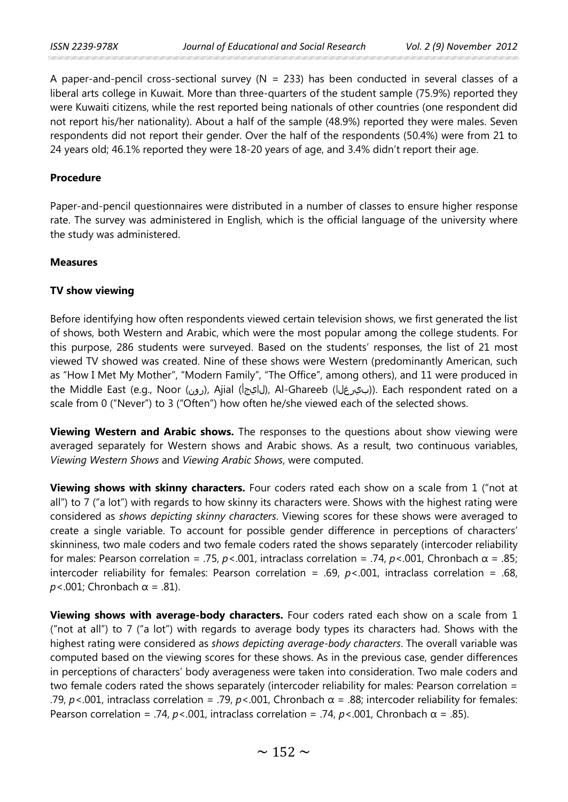A paper-and-pencil cross-sectional survey ( $N = 233$ ) has been conducted in several classes of a liberal arts college in Kuwait. More than three-quarters of the student sample (75.9%) reported they were Kuwaiti citizens, while the rest reported being nationals of other countries (one respondent did not report his/her nationality). About a half of the sample (48.9%) reported they were males. Seven respondents did not report their gender. Over the half of the respondents (50.4%) were from 21 to 24 years old; 46.1% reported they were 18-20 years of age, and 3.4% didn't report their age.

## **Procedure**

Paper-and-pencil questionnaires were distributed in a number of classes to ensure higher response rate. The survey was administered in English, which is the official language of the university where the study was administered.

#### **Measures**

## **TV show viewing**

Before identifying how often respondents viewed certain television shows, we first generated the list of shows, both Western and Arabic, which were the most popular among the college students. For this purpose, 286 students were surveyed. Based on the students' responses, the list of 21 most viewed TV showed was created. Nine of these shows were Western (predominantly American, such as "How I Met My Mother", "Modern Family", "The Office", among others), and 11 were produced in the Middle East (e.g., Noor (رون), Ajial (الجيجأ), Al-Ghareeb ((بيرغل). Each respondent rated on a scale from 0 ("Never") to 3 ("Often") how often he/she viewed each of the selected shows.

**Viewing Western and Arabic shows.** The responses to the questions about show viewing were averaged separately for Western shows and Arabic shows. As a result, two continuous variables, *Viewing Western Shows* and *Viewing Arabic Shows*, were computed.

**Viewing shows with skinny characters.** Four coders rated each show on a scale from 1 ("not at all") to 7 ("a lot") with regards to how skinny its characters were. Shows with the highest rating were considered as *shows depicting skinny characters*. Viewing scores for these shows were averaged to create a single variable. To account for possible gender difference in perceptions of characters' skinniness, two male coders and two female coders rated the shows separately (intercoder reliability for males: Pearson correlation = .75,  $p < .001$ , intraclass correlation = .74,  $p < .001$ , Chronbach  $\alpha$  = .85; intercoder reliability for females: Pearson correlation = .69, *p*<.001, intraclass correlation = .68,  $p$ <.001; Chronbach  $\alpha$  = .81).

**Viewing shows with average-body characters.** Four coders rated each show on a scale from 1 ("not at all") to 7 ("a lot") with regards to average body types its characters had. Shows with the highest rating were considered as *shows depicting average-body characters*. The overall variable was computed based on the viewing scores for these shows. As in the previous case, gender differences in perceptions of characters' body averageness were taken into consideration. Two male coders and two female coders rated the shows separately (intercoder reliability for males: Pearson correlation = .79,  $p$ <.001, intraclass correlation = .79,  $p$ <.001, Chronbach  $\alpha$  = .88; intercoder reliability for females: Pearson correlation = .74,  $p$ <.001, intraclass correlation = .74,  $p$ <.001, Chronbach  $\alpha$  = .85).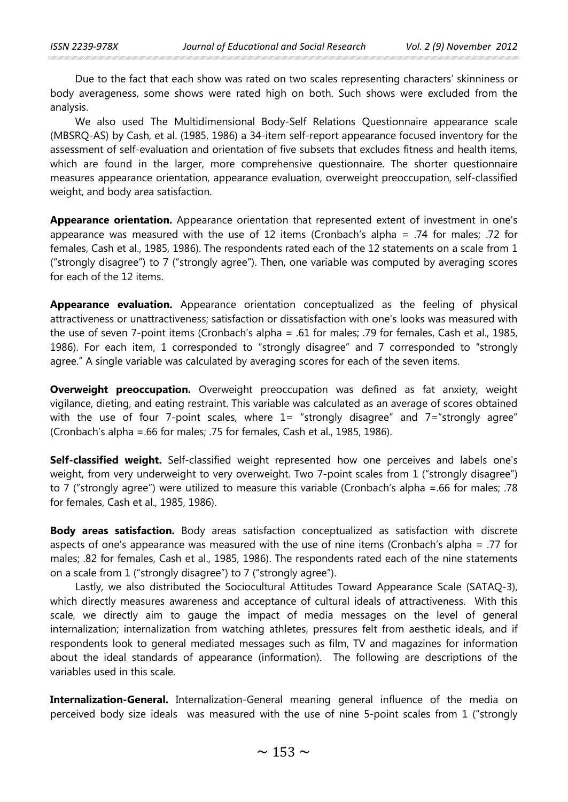Due to the fact that each show was rated on two scales representing characters' skinniness or body averageness, some shows were rated high on both. Such shows were excluded from the analysis.

We also used The Multidimensional Body-Self Relations Questionnaire appearance scale (MBSRQ-AS) by Cash, et al. (1985, 1986) a 34-item self-report appearance focused inventory for the assessment of self-evaluation and orientation of five subsets that excludes fitness and health items, which are found in the larger, more comprehensive questionnaire. The shorter questionnaire measures appearance orientation, appearance evaluation, overweight preoccupation, self-classified weight, and body area satisfaction.

**Appearance orientation.** Appearance orientation that represented extent of investment in one's appearance was measured with the use of 12 items (Cronbach's alpha = .74 for males; .72 for females, Cash et al., 1985, 1986). The respondents rated each of the 12 statements on a scale from 1 ("strongly disagree") to 7 ("strongly agree"). Then, one variable was computed by averaging scores for each of the 12 items.

**Appearance evaluation.** Appearance orientation conceptualized as the feeling of physical attractiveness or unattractiveness; satisfaction or dissatisfaction with one's looks was measured with the use of seven 7-point items (Cronbach's alpha = .61 for males; .79 for females, Cash et al., 1985, 1986). For each item, 1 corresponded to "strongly disagree" and 7 corresponded to "strongly agree." A single variable was calculated by averaging scores for each of the seven items.

**Overweight preoccupation.** Overweight preoccupation was defined as fat anxiety, weight vigilance, dieting, and eating restraint. This variable was calculated as an average of scores obtained with the use of four 7-point scales, where  $1=$  "strongly disagree" and  $7=$  "strongly agree" (Cronbach's alpha =.66 for males; .75 for females, Cash et al., 1985, 1986).

**Self-classified weight.** Self-classified weight represented how one perceives and labels one's weight, from very underweight to very overweight. Two 7-point scales from 1 ("strongly disagree") to 7 ("strongly agree") were utilized to measure this variable (Cronbach's alpha =.66 for males; .78 for females, Cash et al., 1985, 1986).

**Body areas satisfaction.** Body areas satisfaction conceptualized as satisfaction with discrete aspects of one's appearance was measured with the use of nine items (Cronbach's alpha = .77 for males; .82 for females, Cash et al., 1985, 1986). The respondents rated each of the nine statements on a scale from 1 ("strongly disagree") to 7 ("strongly agree").

Lastly, we also distributed the Sociocultural Attitudes Toward Appearance Scale (SATAQ-3), which directly measures awareness and acceptance of cultural ideals of attractiveness. With this scale, we directly aim to gauge the impact of media messages on the level of general internalization; internalization from watching athletes, pressures felt from aesthetic ideals, and if respondents look to general mediated messages such as film, TV and magazines for information about the ideal standards of appearance (information). The following are descriptions of the variables used in this scale.

**Internalization-General.** Internalization-General meaning general influence of the media on perceived body size ideals was measured with the use of nine 5-point scales from 1 ("strongly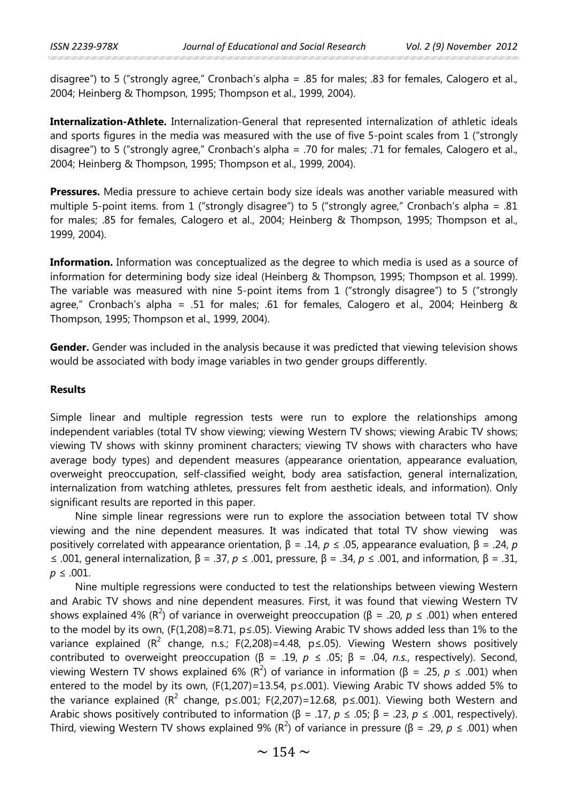disagree") to 5 ("strongly agree," Cronbach's alpha = .85 for males; .83 for females, Calogero et al., 2004; Heinberg & Thompson, 1995; Thompson et al., 1999, 2004).

**Internalization-Athlete.** Internalization-General that represented internalization of athletic ideals and sports figures in the media was measured with the use of five 5-point scales from 1 ("strongly disagree") to 5 ("strongly agree," Cronbach's alpha = .70 for males; .71 for females, Calogero et al., 2004; Heinberg & Thompson, 1995; Thompson et al., 1999, 2004).

**Pressures.** Media pressure to achieve certain body size ideals was another variable measured with multiple 5-point items. from 1 ("strongly disagree") to 5 ("strongly agree," Cronbach's alpha = .81 for males; .85 for females, Calogero et al., 2004; Heinberg & Thompson, 1995; Thompson et al., 1999, 2004).

**Information.** Information was conceptualized as the degree to which media is used as a source of information for determining body size ideal (Heinberg & Thompson, 1995; Thompson et al. 1999). The variable was measured with nine 5-point items from 1 ("strongly disagree") to 5 ("strongly agree," Cronbach's alpha = .51 for males; .61 for females, Calogero et al., 2004; Heinberg & Thompson, 1995; Thompson et al., 1999, 2004).

**Gender.** Gender was included in the analysis because it was predicted that viewing television shows would be associated with body image variables in two gender groups differently.

## **Results**

Simple linear and multiple regression tests were run to explore the relationships among independent variables (total TV show viewing; viewing Western TV shows; viewing Arabic TV shows; viewing TV shows with skinny prominent characters; viewing TV shows with characters who have average body types) and dependent measures (appearance orientation, appearance evaluation, overweight preoccupation, self-classified weight, body area satisfaction, general internalization, internalization from watching athletes, pressures felt from aesthetic ideals, and information). Only significant results are reported in this paper.

Nine simple linear regressions were run to explore the association between total TV show viewing and the nine dependent measures. It was indicated that total TV show viewing was positively correlated with appearance orientation, β = .14, *p* ≤ .05, appearance evaluation, β = .24, *p* ≤ .001, general internalization, β = .37, *p* ≤ .001, pressure, β = .34, *p* ≤ .001, and information, β = .31,  $p \leq .001$ .

Nine multiple regressions were conducted to test the relationships between viewing Western and Arabic TV shows and nine dependent measures. First, it was found that viewing Western TV shows explained 4% (R<sup>2</sup>) of variance in overweight preoccupation (β = .20, *p* ≤ .001) when entered to the model by its own, (F(1,208)=8.71, p≤.05). Viewing Arabic TV shows added less than 1% to the variance explained ( $R^2$  change, n.s.; F(2,208)=4.48, p≤.05). Viewing Western shows positively contributed to overweight preoccupation ( $\beta$  = .19,  $p$  ≤ .05;  $\beta$  = .04, *n.s.*, respectively). Second, viewing Western TV shows explained 6% (R<sup>2</sup>) of variance in information (β = .25, *p* ≤ .001) when entered to the model by its own, (F(1,207)=13.54,  $p \le 0.001$ ). Viewing Arabic TV shows added 5% to the variance explained ( $R^2$  change, p ≤.001; F(2,207)=12.68, p ≤.001). Viewing both Western and Arabic shows positively contributed to information (β = .17, *p* ≤ .05; β = .23, *p* ≤ .001, respectively). Third, viewing Western TV shows explained 9% (R<sup>2</sup>) of variance in pressure (β = .29, *p* ≤ .001) when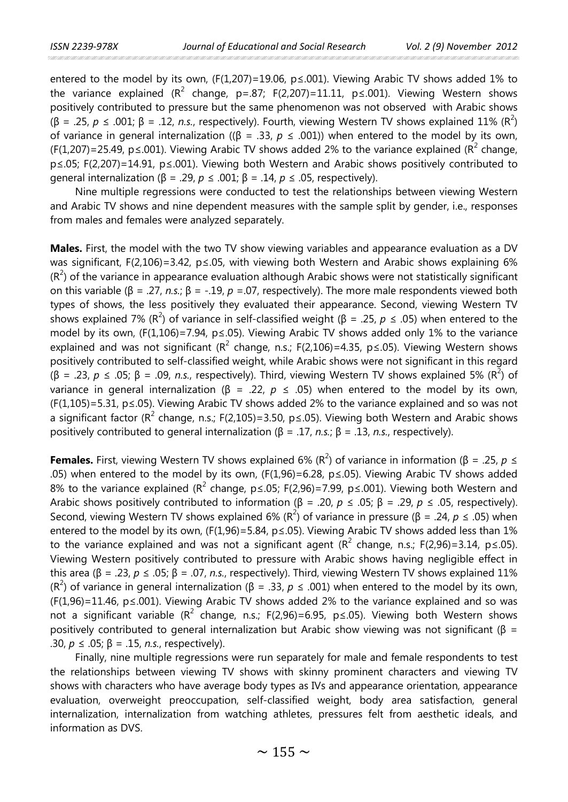entered to the model by its own, (F(1,207)=19.06,  $p \le 0.01$ ). Viewing Arabic TV shows added 1% to the variance explained ( $R^2$  change, p=.87; F(2,207)=11.11, p≤.001). Viewing Western shows positively contributed to pressure but the same phenomenon was not observed with Arabic shows (β = .25, *p* ≤ .001; β = .12, *n.s.*, respectively). Fourth, viewing Western TV shows explained 11% (R<sup>2</sup>) of variance in general internalization ((β = .33, *p* ≤ .001)) when entered to the model by its own, (F(1,207)=25.49, p ≤.001). Viewing Arabic TV shows added 2% to the variance explained (R<sup>2</sup> change, p≤.05; F(2,207)=14.91, p≤.001). Viewing both Western and Arabic shows positively contributed to general internalization (β = .29, *p* ≤ .001; β = .14, *p* ≤ .05, respectively).

Nine multiple regressions were conducted to test the relationships between viewing Western and Arabic TV shows and nine dependent measures with the sample split by gender, i.e., responses from males and females were analyzed separately.

**Males.** First, the model with the two TV show viewing variables and appearance evaluation as a DV was significant, F(2,106)=3.42, p≤.05, with viewing both Western and Arabic shows explaining 6%  $(R<sup>2</sup>)$  of the variance in appearance evaluation although Arabic shows were not statistically significant on this variable (β = .27, *n.s.*; β = -.19, *p* =.07, respectively). The more male respondents viewed both types of shows, the less positively they evaluated their appearance. Second, viewing Western TV shows explained 7% (R<sup>2</sup>) of variance in self-classified weight (β = .25, *p* ≤ .05) when entered to the model by its own, (F(1,106)=7.94, p≤.05). Viewing Arabic TV shows added only 1% to the variance explained and was not significant ( $R^2$  change, n.s.; F(2,106)=4.35, p ≤.05). Viewing Western shows positively contributed to self-classified weight, while Arabic shows were not significant in this regard (β = .23, *p* ≤ .05; β = .09, *n.s.*, respectively). Third, viewing Western TV shows explained 5% (R<sup>2</sup>) of variance in general internalization (β = .22, *p* ≤ .05) when entered to the model by its own, (F(1,105)=5.31, p≤.05). Viewing Arabic TV shows added 2% to the variance explained and so was not a significant factor ( $R^2$  change, n.s.; F(2,105)=3.50, p e 05). Viewing both Western and Arabic shows positively contributed to general internalization (β = .17, *n.s.*; β = .13, *n.s.*, respectively).

**Females.** First, viewing Western TV shows explained 6% (R<sup>2</sup>) of variance in information (β = .25, *p* ≤ .05) when entered to the model by its own, (F(1,96)=6.28, p≤.05). Viewing Arabic TV shows added 8% to the variance explained ( $R^2$  change, p ≤.05; F(2,96)=7.99, p ≤.001). Viewing both Western and Arabic shows positively contributed to information (β = .20, *p* ≤ .05; β = .29, *p* ≤ .05, respectively). Second, viewing Western TV shows explained 6% (R<sup>2</sup>) of variance in pressure (β = .24, *p* ≤ .05) when entered to the model by its own, (F(1,96)=5.84, p 6.05). Viewing Arabic TV shows added less than 1% to the variance explained and was not a significant agent  $(R^2 \text{ change, n.s.}; F(2,96)=3.14, p \le 0.05)$ . Viewing Western positively contributed to pressure with Arabic shows having negligible effect in this area (β = .23, *p* ≤ .05; β = .07, *n.s.*, respectively). Third, viewing Western TV shows explained 11% (R<sup>2</sup>) of variance in general internalization (β = .33, *p* ≤ .001) when entered to the model by its own, (F(1,96)=11.46, p≤.001). Viewing Arabic TV shows added 2% to the variance explained and so was not a significant variable ( $R^2$  change, n.s.; F(2,96)=6.95, p ≤.05). Viewing both Western shows positively contributed to general internalization but Arabic show viewing was not significant (β = .30, *p* ≤ .05; β = .15, *n.s.*, respectively).

Finally, nine multiple regressions were run separately for male and female respondents to test the relationships between viewing TV shows with skinny prominent characters and viewing TV shows with characters who have average body types as IVs and appearance orientation, appearance evaluation, overweight preoccupation, self-classified weight, body area satisfaction, general internalization, internalization from watching athletes, pressures felt from aesthetic ideals, and information as DVS.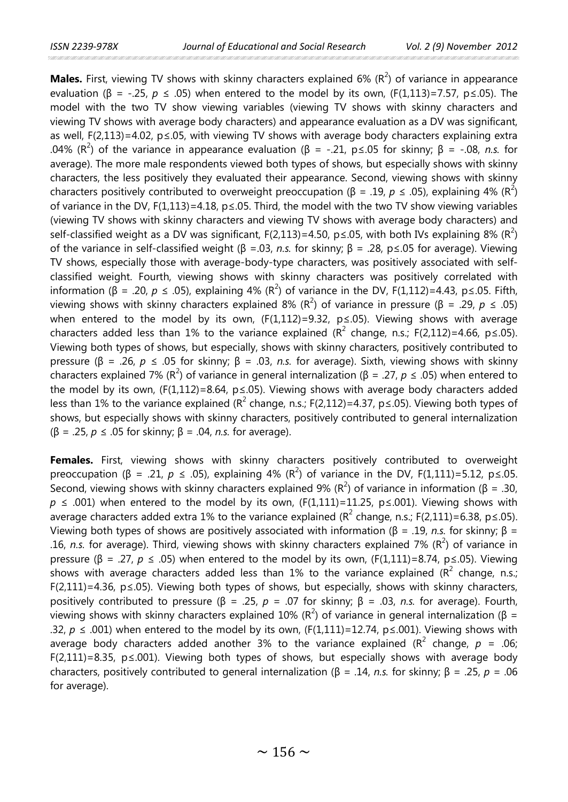**Males.** First, viewing TV shows with skinny characters explained 6% (R<sup>2</sup>) of variance in appearance evaluation (β = -.25,  $p \le .05$ ) when entered to the model by its own, (F(1,113)=7.57, p ≤.05). The model with the two TV show viewing variables (viewing TV shows with skinny characters and viewing TV shows with average body characters) and appearance evaluation as a DV was significant, as well, F(2,113)=4.02, p $\leq$ .05, with viewing TV shows with average body characters explaining extra .04% (R<sup>2</sup>) of the variance in appearance evaluation (β = -.21, p ≤.05 for skinny; β = -.08, *n.s.* for average). The more male respondents viewed both types of shows, but especially shows with skinny characters, the less positively they evaluated their appearance. Second, viewing shows with skinny characters positively contributed to overweight preoccupation (β = .19, *p*  $\leq$  .05), explaining 4% (R<sup>2</sup>) of variance in the DV,  $F(1,113)=4.18$ ,  $p\le 0.05$ . Third, the model with the two TV show viewing variables (viewing TV shows with skinny characters and viewing TV shows with average body characters) and self-classified weight as a DV was significant, F(2,113)=4.50, p≤.05, with both IVs explaining 8% (R<sup>2</sup>) of the variance in self-classified weight (β =.03, *n.s.* for skinny; β = .28, p≤.05 for average). Viewing TV shows, especially those with average-body-type characters, was positively associated with selfclassified weight. Fourth, viewing shows with skinny characters was positively correlated with information (β = .20, *p* ≤ .05), explaining 4% (R<sup>2</sup>) of variance in the DV, F(1,112)=4.43, p≤.05. Fifth, viewing shows with skinny characters explained 8% (R<sup>2</sup>) of variance in pressure (β = .29, *p* ≤ .05) when entered to the model by its own,  $(F(1,112)=9.32, p\le 0.05)$ . Viewing shows with average characters added less than 1% to the variance explained ( $R^2$  change, n.s.; F(2,112)=4.66, p g .05). Viewing both types of shows, but especially, shows with skinny characters, positively contributed to pressure (β = .26, *p* ≤ .05 for skinny; β = .03, *n.s.* for average). Sixth, viewing shows with skinny characters explained 7% (R<sup>2</sup>) of variance in general internalization (β = .27, *p* ≤ .05) when entered to the model by its own, (F(1,112)=8.64, p≤.05). Viewing shows with average body characters added less than 1% to the variance explained ( $R^2$  change, n.s.; F(2,112)=4.37, p ≤.05). Viewing both types of shows, but especially shows with skinny characters, positively contributed to general internalization (β = .25, *p* ≤ .05 for skinny; β = .04, *n.s.* for average).

**Females.** First, viewing shows with skinny characters positively contributed to overweight preoccupation (β = .21, *p* ≤ .05), explaining 4% (R<sup>2</sup>) of variance in the DV, F(1,111)=5.12, p≤.05. Second, viewing shows with skinny characters explained 9% ( $R^2$ ) of variance in information ( $\beta = 0.30$ ,  $p \le 0.001$ ) when entered to the model by its own, (F(1,111)=11.25, p ≤.001). Viewing shows with average characters added extra 1% to the variance explained ( $R^2$  change, n.s.; F(2,111)=6.38, p e .05). Viewing both types of shows are positively associated with information (β = .19, *n.s.* for skinny; β = .16, n.s. for average). Third, viewing shows with skinny characters explained 7%  $(R^2)$  of variance in pressure (β = .27, *p* ≤ .05) when entered to the model by its own, (F(1,111)=8.74, p≤.05). Viewing shows with average characters added less than 1% to the variance explained ( $R^2$  change, n.s.; F(2,111)=4.36, p≤.05). Viewing both types of shows, but especially, shows with skinny characters, positively contributed to pressure (β = .25, *p* = .07 for skinny; β = .03, *n.s.* for average). Fourth, viewing shows with skinny characters explained 10% ( $R^2$ ) of variance in general internalization (β = .32,  $p \le 0.001$ ) when entered to the model by its own, (F(1,111)=12.74, p less, 0.01). Viewing shows with average body characters added another 3% to the variance explained ( $R^2$  change,  $p = .06$ ; F(2,111)=8.35, p≤.001). Viewing both types of shows, but especially shows with average body characters, positively contributed to general internalization (β = .14, *n.s.* for skinny; β = .25, *p* = .06 for average).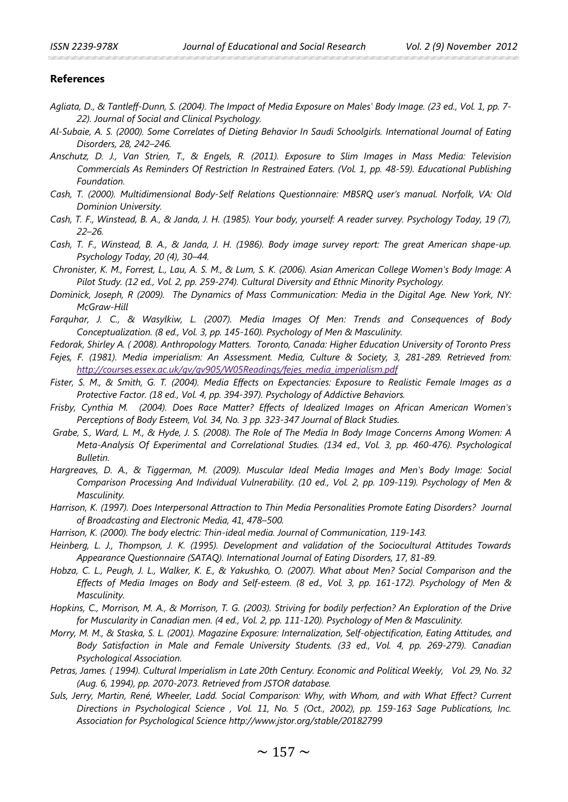#### **References**

- *Agliata, D., & Tantleff-Dunn, S. (2004). The Impact of Media Exposure on Males' Body Image. (23 ed., Vol. 1, pp. 7- 22). Journal of Social and Clinical Psychology.*
- *Al-Subaie, A. S. (2000). Some Correlates of Dieting Behavior In Saudi Schoolgirls. International Journal of Eating Disorders, 28, 242–246.*
- *Anschutz, D. J., Van Strien, T., & Engels, R. (2011). Exposure to Slim Images in Mass Media: Television Commercials As Reminders Of Restriction In Restrained Eaters. (Vol. 1, pp. 48-59). Educational Publishing Foundation.*
- *Cash, T. (2000). Multidimensional Body-Self Relations Questionnaire: MBSRQ user's manual. Norfolk, VA: Old Dominion University.*
- *Cash, T. F., Winstead, B. A., & Janda, J. H. (1985). Your body, yourself: A reader survey. Psychology Today, 19 (7), 22–26.*
- *Cash, T. F., Winstead, B. A., & Janda, J. H. (1986). Body image survey report: The great American shape-up. Psychology Today, 20 (4), 30–44.*
- *Chronister, K. M., Forrest, L., Lau, A. S. M., & Lum, S. K. (2006). Asian American College Women's Body Image: A Pilot Study. (12 ed., Vol. 2, pp. 259-274). Cultural Diversity and Ethnic Minority Psychology.*
- *Dominick, Joseph, R (2009). The Dynamics of Mass Communication: Media in the Digital Age. New York, NY: McGraw-Hill*
- *Farquhar, J. C., & Wasylkiw, L. (2007). Media Images Of Men: Trends and Consequences of Body Conceptualization. (8 ed., Vol. 3, pp. 145-160). Psychology of Men & Masculinity.*
- *Fedorak, Shirley A. ( 2008). Anthropology Matters. Toronto, Canada: Higher Education University of Toronto Press Fejes, F. (1981). Media imperialism: An Assessment. Media, Culture & Society, 3, 281-289. Retrieved from: [http://courses.essex.ac.uk/gv/gv905/W05Readings/fejes\\_media\\_imperialism.pdf](http://courses.essex.ac.uk/gv/gv905/W05Readings/fejes_media_imperialism.pdf)*
- *Fister, S. M., & Smith, G. T. (2004). Media Effects on Expectancies: Exposure to Realistic Female Images as a Protective Factor. (18 ed., Vol. 4, pp. 394-397). Psychology of Addictive Behaviors.*
- *Frisby, Cynthia M. (2004). Does Race Matter? Effects of Idealized Images on African American Women's Perceptions of Body Esteem, Vol. 34, No. 3 pp. 323-347 Journal of Black Studies.*
- *Grabe, S., Ward, L. M., & Hyde, J. S. (2008). The Role of The Media In Body Image Concerns Among Women: A Meta-Analysis Of Experimental and Correlational Studies. (134 ed., Vol. 3, pp. 460-476). Psychological Bulletin.*
- *Hargreaves, D. A., & Tiggerman, M. (2009). Muscular Ideal Media Images and Men's Body Image: Social Comparison Processing And Individual Vulnerability. (10 ed., Vol. 2, pp. 109-119). Psychology of Men & Masculinity.*
- *Harrison, K. (1997). Does Interpersonal Attraction to Thin Media Personalities Promote Eating Disorders? Journal of Broadcasting and Electronic Media, 41, 478–500.*
- *Harrison, K. (2000). The body electric: Thin-ideal media. Journal of Communication, 119-143.*
- *Heinberg, L. J., Thompson, J. K. (1995). Development and validation of the Sociocultural Attitudes Towards Appearance Questionnaire (SATAQ). International Journal of Eating Disorders, 17, 81-89.*
- *Hobza, C. L., Peugh, J. L., Walker, K. E., & Yakushko, O. (2007). What about Men? Social Comparison and the Effects of Media Images on Body and Self-esteem. (8 ed., Vol. 3, pp. 161-172). Psychology of Men & Masculinity.*
- *Hopkins, C., Morrison, M. A., & Morrison, T. G. (2003). Striving for bodily perfection? An Exploration of the Drive for Muscularity in Canadian men. (4 ed., Vol. 2, pp. 111-120). Psychology of Men & Masculinity.*
- *Morry, M. M., & Staska, S. L. (2001). Magazine Exposure: Internalization, Self-objectification, Eating Attitudes, and Body Satisfaction in Male and Female University Students. (33 ed., Vol. 4, pp. 269-279). Canadian Psychological Association.*
- *Petras, James. ( 1994). Cultural Imperialism in Late 20th Century. Economic and Political Weekly, Vol. 29, No. 32 (Aug. 6, 1994), pp. 2070-2073. Retrieved from JSTOR database.*
- *Suls, Jerry, Martin, René, Wheeler, Ladd. Social Comparison: Why, with Whom, and with What Effect? Current Directions in Psychological Science , Vol. 11, No. 5 (Oct., 2002), pp. 159-163 Sage Publications, Inc. Association for Psychological Science http://www.jstor.org/stable/20182799*